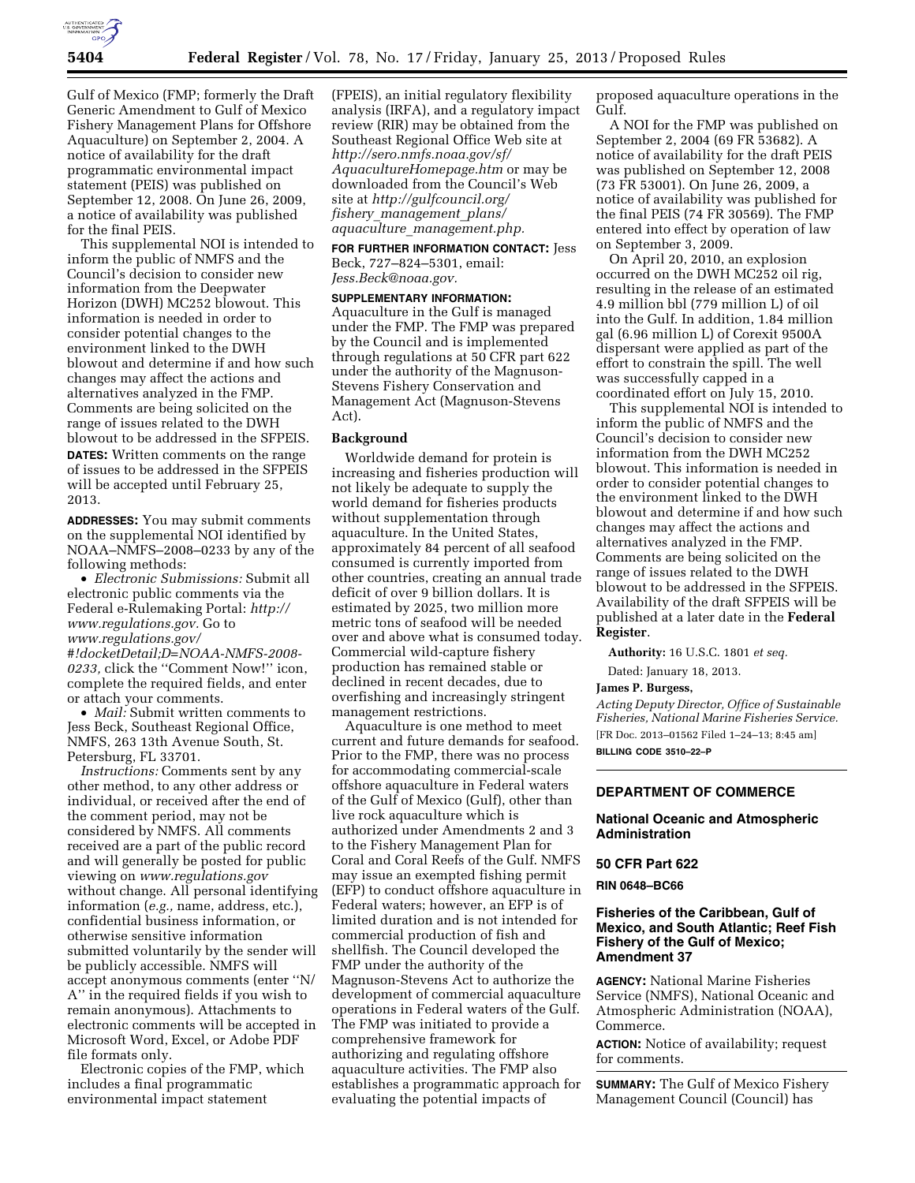

Gulf of Mexico (FMP; formerly the Draft Generic Amendment to Gulf of Mexico Fishery Management Plans for Offshore Aquaculture) on September 2, 2004. A notice of availability for the draft programmatic environmental impact statement (PEIS) was published on September 12, 2008. On June 26, 2009, a notice of availability was published for the final PEIS.

This supplemental NOI is intended to inform the public of NMFS and the Council's decision to consider new information from the Deepwater Horizon (DWH) MC252 blowout. This information is needed in order to consider potential changes to the environment linked to the DWH blowout and determine if and how such changes may affect the actions and alternatives analyzed in the FMP. Comments are being solicited on the range of issues related to the DWH blowout to be addressed in the SFPEIS.

**DATES:** Written comments on the range of issues to be addressed in the SFPEIS will be accepted until February 25, 2013.

**ADDRESSES:** You may submit comments on the supplemental NOI identified by NOAA–NMFS–2008–0233 by any of the following methods:

• *Electronic Submissions:* Submit all electronic public comments via the Federal e-Rulemaking Portal: *[http://](http://www.regulations.gov)  [www.regulations.gov.](http://www.regulations.gov)* Go to *[www.regulations.gov/](http://www.regulations.gov/#!docketDetail;D=NOAA-NMFS-2008-0233) [#!docketDetail;D=NOAA-NMFS-2008-](http://www.regulations.gov/#!docketDetail;D=NOAA-NMFS-2008-0233) [0233,](http://www.regulations.gov/#!docketDetail;D=NOAA-NMFS-2008-0233)* click the ''Comment Now!'' icon,

complete the required fields, and enter or attach your comments. • *Mail:* Submit written comments to Jess Beck, Southeast Regional Office, NMFS, 263 13th Avenue South, St.

Petersburg, FL 33701. *Instructions:* Comments sent by any other method, to any other address or individual, or received after the end of the comment period, may not be considered by NMFS. All comments received are a part of the public record and will generally be posted for public viewing on *[www.regulations.gov](http://www.regulations.gov)*  without change. All personal identifying information (*e.g.,* name, address, etc.), confidential business information, or otherwise sensitive information submitted voluntarily by the sender will be publicly accessible. NMFS will accept anonymous comments (enter ''N/ A'' in the required fields if you wish to remain anonymous). Attachments to electronic comments will be accepted in Microsoft Word, Excel, or Adobe PDF file formats only.

Electronic copies of the FMP, which includes a final programmatic environmental impact statement

(FPEIS), an initial regulatory flexibility analysis (IRFA), and a regulatory impact review (RIR) may be obtained from the Southeast Regional Office Web site at *[http://sero.nmfs.noaa.gov/sf/](http://sero.nmfs.noaa.gov/sf/AquacultureHomepage.htm) [AquacultureHomepage.htm](http://sero.nmfs.noaa.gov/sf/AquacultureHomepage.htm)* or may be downloaded from the Council's Web site at *[http://gulfcouncil.org/](http://gulfcouncil.org/fishery_management_plans/aquaculture_management.php)  fishery*\_*[management](http://gulfcouncil.org/fishery_management_plans/aquaculture_management.php)*\_*plans/ aquaculture*\_*[management.php.](http://gulfcouncil.org/fishery_management_plans/aquaculture_management.php)* 

**FOR FURTHER INFORMATION CONTACT:** Jess Beck, 727–824–5301, email: *[Jess.Beck@noaa.gov.](mailto:Jess.Beck@noaa.gov)* 

### **SUPPLEMENTARY INFORMATION:**

Aquaculture in the Gulf is managed under the FMP. The FMP was prepared by the Council and is implemented through regulations at 50 CFR part 622 under the authority of the Magnuson-Stevens Fishery Conservation and Management Act (Magnuson-Stevens Act).

### **Background**

Worldwide demand for protein is increasing and fisheries production will not likely be adequate to supply the world demand for fisheries products without supplementation through aquaculture. In the United States, approximately 84 percent of all seafood consumed is currently imported from other countries, creating an annual trade deficit of over 9 billion dollars. It is estimated by 2025, two million more metric tons of seafood will be needed over and above what is consumed today. Commercial wild-capture fishery production has remained stable or declined in recent decades, due to overfishing and increasingly stringent management restrictions.

Aquaculture is one method to meet current and future demands for seafood. Prior to the FMP, there was no process for accommodating commercial-scale offshore aquaculture in Federal waters of the Gulf of Mexico (Gulf), other than live rock aquaculture which is authorized under Amendments 2 and 3 to the Fishery Management Plan for Coral and Coral Reefs of the Gulf. NMFS may issue an exempted fishing permit (EFP) to conduct offshore aquaculture in Federal waters; however, an EFP is of limited duration and is not intended for commercial production of fish and shellfish. The Council developed the FMP under the authority of the Magnuson-Stevens Act to authorize the development of commercial aquaculture operations in Federal waters of the Gulf. The FMP was initiated to provide a comprehensive framework for authorizing and regulating offshore aquaculture activities. The FMP also establishes a programmatic approach for evaluating the potential impacts of

proposed aquaculture operations in the Gulf.

A NOI for the FMP was published on September 2, 2004 (69 FR 53682). A notice of availability for the draft PEIS was published on September 12, 2008 (73 FR 53001). On June 26, 2009, a notice of availability was published for the final PEIS (74 FR 30569). The FMP entered into effect by operation of law on September 3, 2009.

On April 20, 2010, an explosion occurred on the DWH MC252 oil rig, resulting in the release of an estimated 4.9 million bbl (779 million L) of oil into the Gulf. In addition, 1.84 million gal (6.96 million L) of Corexit 9500A dispersant were applied as part of the effort to constrain the spill. The well was successfully capped in a coordinated effort on July 15, 2010.

This supplemental NOI is intended to inform the public of NMFS and the Council's decision to consider new information from the DWH MC252 blowout. This information is needed in order to consider potential changes to the environment linked to the DWH blowout and determine if and how such changes may affect the actions and alternatives analyzed in the FMP. Comments are being solicited on the range of issues related to the DWH blowout to be addressed in the SFPEIS. Availability of the draft SFPEIS will be published at a later date in the **Federal Register**.

**Authority:** 16 U.S.C. 1801 *et seq.* 

Dated: January 18, 2013.

## **James P. Burgess,**

*Acting Deputy Director, Office of Sustainable Fisheries, National Marine Fisheries Service.*  [FR Doc. 2013–01562 Filed 1–24–13; 8:45 am] **BILLING CODE 3510–22–P** 

# **DEPARTMENT OF COMMERCE**

## **National Oceanic and Atmospheric Administration**

## **50 CFR Part 622**

#### **RIN 0648–BC66**

## **Fisheries of the Caribbean, Gulf of Mexico, and South Atlantic; Reef Fish Fishery of the Gulf of Mexico; Amendment 37**

**AGENCY:** National Marine Fisheries Service (NMFS), National Oceanic and Atmospheric Administration (NOAA), Commerce.

**ACTION:** Notice of availability; request for comments.

**SUMMARY:** The Gulf of Mexico Fishery Management Council (Council) has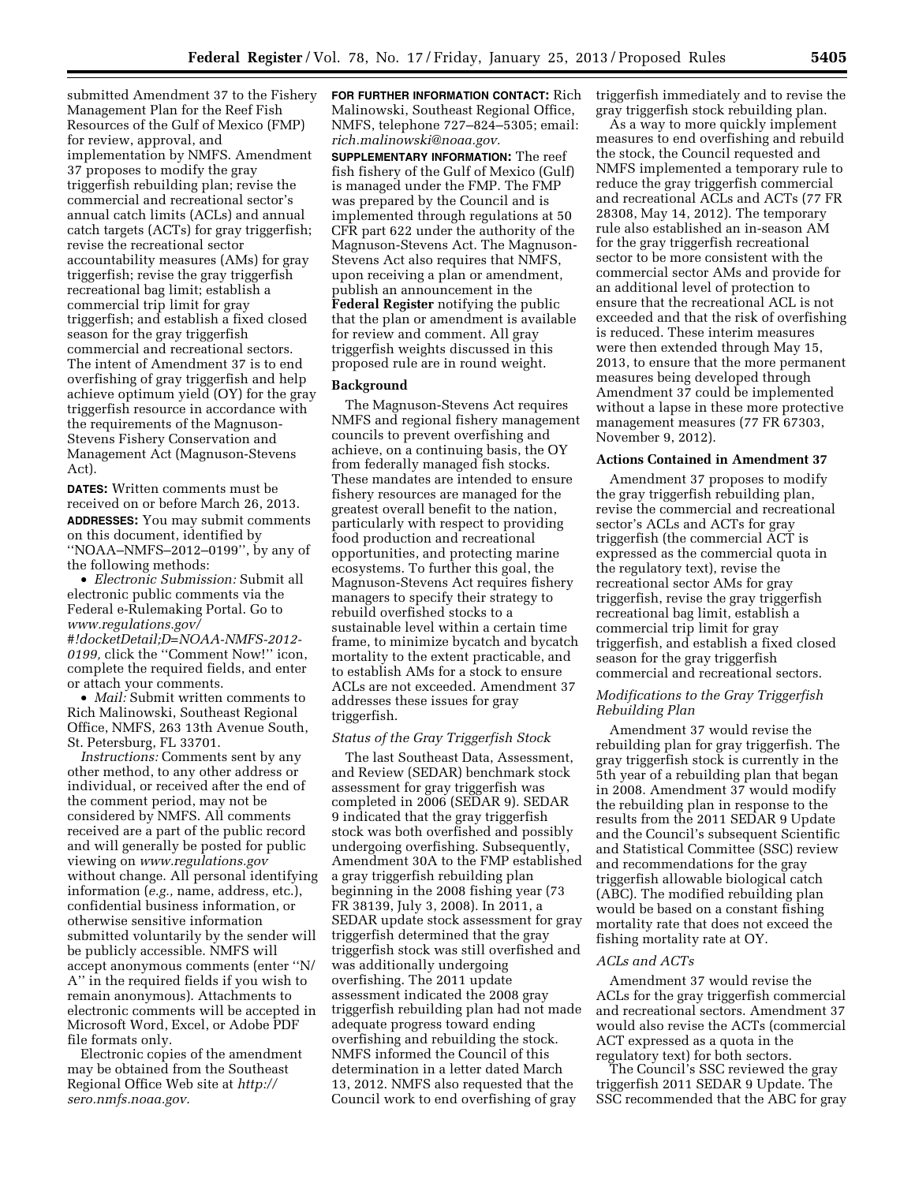submitted Amendment 37 to the Fishery Management Plan for the Reef Fish Resources of the Gulf of Mexico (FMP) for review, approval, and implementation by NMFS. Amendment 37 proposes to modify the gray triggerfish rebuilding plan; revise the commercial and recreational sector's annual catch limits (ACLs) and annual catch targets (ACTs) for gray triggerfish; revise the recreational sector accountability measures (AMs) for gray triggerfish; revise the gray triggerfish recreational bag limit; establish a commercial trip limit for gray triggerfish; and establish a fixed closed season for the gray triggerfish commercial and recreational sectors. The intent of Amendment 37 is to end overfishing of gray triggerfish and help achieve optimum yield (OY) for the gray triggerfish resource in accordance with the requirements of the Magnuson-Stevens Fishery Conservation and Management Act (Magnuson-Stevens Act).

**DATES:** Written comments must be received on or before March 26, 2013. **ADDRESSES:** You may submit comments on this document, identified by ''NOAA–NMFS–2012–0199'', by any of the following methods:

• *Electronic Submission:* Submit all electronic public comments via the Federal e-Rulemaking Portal. Go to *[www.regulations.gov/](http://www.regulations.gov/#!docketDetail;D=NOAA-NMFS-2012-0199) [#!docketDetail;D=NOAA-NMFS-2012-](http://www.regulations.gov/#!docketDetail;D=NOAA-NMFS-2012-0199) [0199,](http://www.regulations.gov/#!docketDetail;D=NOAA-NMFS-2012-0199)* click the ''Comment Now!'' icon, complete the required fields, and enter or attach your comments.

• *Mail:* Submit written comments to Rich Malinowski, Southeast Regional Office, NMFS, 263 13th Avenue South, St. Petersburg, FL 33701.

*Instructions:* Comments sent by any other method, to any other address or individual, or received after the end of the comment period, may not be considered by NMFS. All comments received are a part of the public record and will generally be posted for public viewing on *[www.regulations.gov](http://www.regulations.gov)*  without change. All personal identifying information (*e.g.,* name, address, etc.), confidential business information, or otherwise sensitive information submitted voluntarily by the sender will be publicly accessible. NMFS will accept anonymous comments (enter ''N/ A'' in the required fields if you wish to remain anonymous). Attachments to electronic comments will be accepted in Microsoft Word, Excel, or Adobe PDF file formats only.

Electronic copies of the amendment may be obtained from the Southeast Regional Office Web site at *[http://](http://sero.nmfs.noaa.gov) [sero.nmfs.noaa.gov.](http://sero.nmfs.noaa.gov)* 

**FOR FURTHER INFORMATION CONTACT:** Rich Malinowski, Southeast Regional Office, NMFS, telephone 727–824–5305; email: *[rich.malinowski@noaa.gov.](mailto:rich.malinowski@noaa.gov)* 

**SUPPLEMENTARY INFORMATION:** The reef fish fishery of the Gulf of Mexico (Gulf) is managed under the FMP. The FMP was prepared by the Council and is implemented through regulations at 50 CFR part 622 under the authority of the Magnuson-Stevens Act. The Magnuson-Stevens Act also requires that NMFS, upon receiving a plan or amendment, publish an announcement in the **Federal Register** notifying the public that the plan or amendment is available for review and comment. All gray triggerfish weights discussed in this proposed rule are in round weight.

## **Background**

The Magnuson-Stevens Act requires NMFS and regional fishery management councils to prevent overfishing and achieve, on a continuing basis, the OY from federally managed fish stocks. These mandates are intended to ensure fishery resources are managed for the greatest overall benefit to the nation, particularly with respect to providing food production and recreational opportunities, and protecting marine ecosystems. To further this goal, the Magnuson-Stevens Act requires fishery managers to specify their strategy to rebuild overfished stocks to a sustainable level within a certain time frame, to minimize bycatch and bycatch mortality to the extent practicable, and to establish AMs for a stock to ensure ACLs are not exceeded. Amendment 37 addresses these issues for gray triggerfish.

### *Status of the Gray Triggerfish Stock*

The last Southeast Data, Assessment, and Review (SEDAR) benchmark stock assessment for gray triggerfish was completed in 2006 (SEDAR 9). SEDAR 9 indicated that the gray triggerfish stock was both overfished and possibly undergoing overfishing. Subsequently, Amendment 30A to the FMP established a gray triggerfish rebuilding plan beginning in the 2008 fishing year (73 FR 38139, July 3, 2008). In 2011, a SEDAR update stock assessment for gray triggerfish determined that the gray triggerfish stock was still overfished and was additionally undergoing overfishing. The 2011 update assessment indicated the 2008 gray triggerfish rebuilding plan had not made adequate progress toward ending overfishing and rebuilding the stock. NMFS informed the Council of this determination in a letter dated March 13, 2012. NMFS also requested that the Council work to end overfishing of gray

triggerfish immediately and to revise the gray triggerfish stock rebuilding plan.

As a way to more quickly implement measures to end overfishing and rebuild the stock, the Council requested and NMFS implemented a temporary rule to reduce the gray triggerfish commercial and recreational ACLs and ACTs (77 FR 28308, May 14, 2012). The temporary rule also established an in-season AM for the gray triggerfish recreational sector to be more consistent with the commercial sector AMs and provide for an additional level of protection to ensure that the recreational ACL is not exceeded and that the risk of overfishing is reduced. These interim measures were then extended through May 15, 2013, to ensure that the more permanent measures being developed through Amendment 37 could be implemented without a lapse in these more protective management measures (77 FR 67303, November 9, 2012).

# **Actions Contained in Amendment 37**

Amendment 37 proposes to modify the gray triggerfish rebuilding plan, revise the commercial and recreational sector's ACLs and ACTs for gray triggerfish (the commercial ACT is expressed as the commercial quota in the regulatory text), revise the recreational sector AMs for gray triggerfish, revise the gray triggerfish recreational bag limit, establish a commercial trip limit for gray triggerfish, and establish a fixed closed season for the gray triggerfish commercial and recreational sectors.

## *Modifications to the Gray Triggerfish Rebuilding Plan*

Amendment 37 would revise the rebuilding plan for gray triggerfish. The gray triggerfish stock is currently in the 5th year of a rebuilding plan that began in 2008. Amendment 37 would modify the rebuilding plan in response to the results from the 2011 SEDAR 9 Update and the Council's subsequent Scientific and Statistical Committee (SSC) review and recommendations for the gray triggerfish allowable biological catch (ABC). The modified rebuilding plan would be based on a constant fishing mortality rate that does not exceed the fishing mortality rate at OY.

## *ACLs and ACTs*

Amendment 37 would revise the ACLs for the gray triggerfish commercial and recreational sectors. Amendment 37 would also revise the ACTs (commercial ACT expressed as a quota in the regulatory text) for both sectors.

The Council's SSC reviewed the gray triggerfish 2011 SEDAR 9 Update. The SSC recommended that the ABC for gray